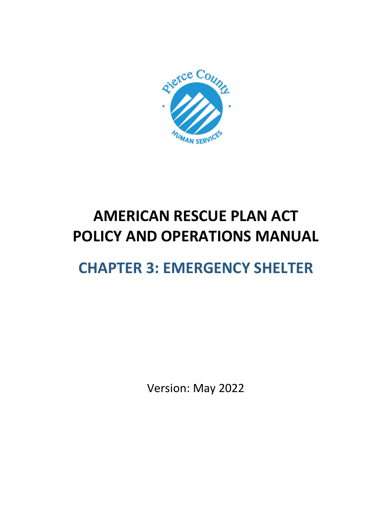

# **AMERICAN RESCUE PLAN ACT POLICY AND OPERATIONS MANUAL**

# **CHAPTER 3: EMERGENCY SHELTER**

Version: May 2022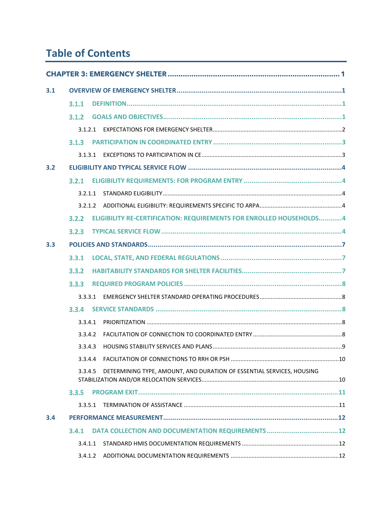# **Table of Contents**

| 3.1 |         |                                                                       |  |
|-----|---------|-----------------------------------------------------------------------|--|
|     | 3.1.1   |                                                                       |  |
|     | 3.1.2   |                                                                       |  |
|     | 3.1.2.1 |                                                                       |  |
|     | 3.1.3   |                                                                       |  |
|     | 3.1.3.1 |                                                                       |  |
| 3.2 |         |                                                                       |  |
|     | 3.2.1   |                                                                       |  |
|     | 3.2.1.1 |                                                                       |  |
|     | 3.2.1.2 |                                                                       |  |
|     | 3.2.2   | ELIGIBILITY RE-CERTIFICATION: REQUIREMENTS FOR ENROLLED HOUSEHOLDS4   |  |
|     | 3.2.3   |                                                                       |  |
| 3.3 |         |                                                                       |  |
|     | 3.3.1   |                                                                       |  |
|     | 3.3.2   |                                                                       |  |
|     | 3.3.3   |                                                                       |  |
|     | 3.3.3.1 |                                                                       |  |
|     | 3.3.4   |                                                                       |  |
|     | 3.3.4.1 |                                                                       |  |
|     | 3.3.4.2 |                                                                       |  |
|     | 3.3.4.3 |                                                                       |  |
|     | 3.3.4.4 |                                                                       |  |
|     | 3.3.4.5 | DETERMINING TYPE, AMOUNT, AND DURATION OF ESSENTIAL SERVICES, HOUSING |  |
|     | 3.3.5   |                                                                       |  |
|     | 3.3.5.1 |                                                                       |  |
| 3.4 |         |                                                                       |  |
|     | 3.4.1   |                                                                       |  |
|     | 3.4.1.1 |                                                                       |  |
|     | 3.4.1.2 |                                                                       |  |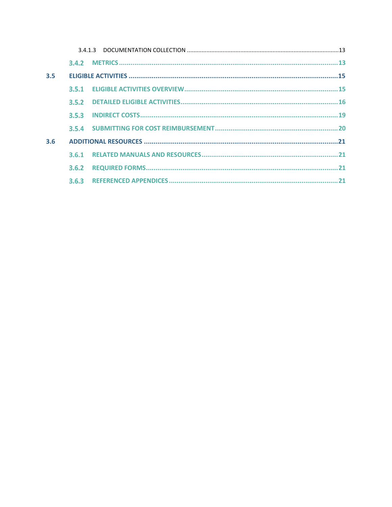| 3.5 |       |  |  |
|-----|-------|--|--|
|     |       |  |  |
|     | 3.5.2 |  |  |
|     |       |  |  |
|     |       |  |  |
| 3.6 |       |  |  |
|     | 3.6.1 |  |  |
|     | 3.6.2 |  |  |
|     | 3.6.3 |  |  |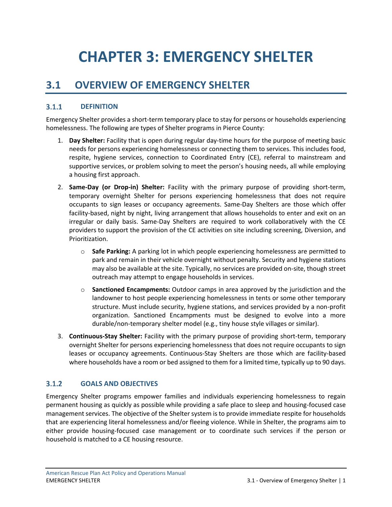# <span id="page-3-0"></span>**CHAPTER 3: EMERGENCY SHELTER**

## <span id="page-3-1"></span>**3.1 OVERVIEW OF EMERGENCY SHELTER**

#### <span id="page-3-2"></span> $3.1.1$ **DEFINITION**

Emergency Shelter provides a short-term temporary place to stay for persons or households experiencing homelessness. The following are types of Shelter programs in Pierce County:

- 1. **Day Shelter:** Facility that is open during regular day-time hours for the purpose of meeting basic needs for persons experiencing homelessness or connecting them to services. This includes food, respite, hygiene services, connection to Coordinated Entry (CE), referral to mainstream and supportive services, or problem solving to meet the person's housing needs, all while employing a housing first approach.
- 2. **Same-Day (or Drop-in) Shelter:** Facility with the primary purpose of providing short-term, temporary overnight Shelter for persons experiencing homelessness that does not require occupants to sign leases or occupancy agreements. Same-Day Shelters are those which offer facility-based, night by night, living arrangement that allows households to enter and exit on an irregular or daily basis. Same-Day Shelters are required to work collaboratively with the CE providers to support the provision of the CE activities on site including screening, Diversion, and Prioritization.
	- o **Safe Parking:** A parking lot in which people experiencing homelessness are permitted to park and remain in their vehicle overnight without penalty. Security and hygiene stations may also be available at the site. Typically, no services are provided on-site, though street outreach may attempt to engage households in services.
	- o **Sanctioned Encampments:** Outdoor camps in area approved by the jurisdiction and the landowner to host people experiencing homelessness in tents or some other temporary structure. Must include security, hygiene stations, and services provided by a non-profit organization. Sanctioned Encampments must be designed to evolve into a more durable/non-temporary shelter model (e.g., tiny house style villages or similar).
- 3. **Continuous-Stay Shelter:** Facility with the primary purpose of providing short-term, temporary overnight Shelter for persons experiencing homelessness that does not require occupants to sign leases or occupancy agreements. Continuous-Stay Shelters are those which are facility-based where households have a room or bed assigned to them for a limited time, typically up to 90 days.

#### <span id="page-3-3"></span> $3.1.2$ **GOALS AND OBJECTIVES**

Emergency Shelter programs empower families and individuals experiencing homelessness to regain permanent housing as quickly as possible while providing a safe place to sleep and housing-focused case management services. The objective of the Shelter system is to provide immediate respite for households that are experiencing literal homelessness and/or fleeing violence. While in Shelter, the programs aim to either provide housing-focused case management or to coordinate such services if the person or household is matched to a CE housing resource.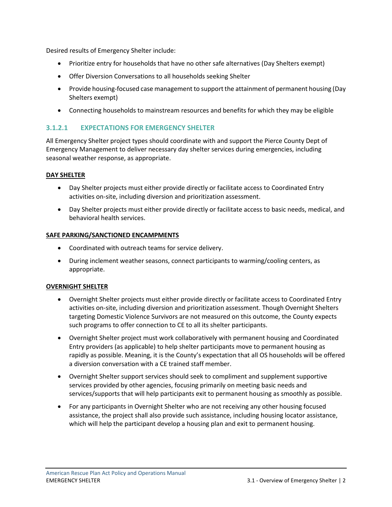Desired results of Emergency Shelter include:

- Prioritize entry for households that have no other safe alternatives (Day Shelters exempt)
- Offer Diversion Conversations to all households seeking Shelter
- Provide housing-focused case management to support the attainment of permanent housing (Day Shelters exempt)
- Connecting households to mainstream resources and benefits for which they may be eligible

### <span id="page-4-0"></span>**3.1.2.1 EXPECTATIONS FOR EMERGENCY SHELTER**

All Emergency Shelter project types should coordinate with and support the Pierce County Dept of Emergency Management to deliver necessary day shelter services during emergencies, including seasonal weather response, as appropriate.

### **DAY SHELTER**

- Day Shelter projects must either provide directly or facilitate access to Coordinated Entry activities on-site, including diversion and prioritization assessment.
- Day Shelter projects must either provide directly or facilitate access to basic needs, medical, and behavioral health services.

### **SAFE PARKING/SANCTIONED ENCAMPMENTS**

- Coordinated with outreach teams for service delivery.
- During inclement weather seasons, connect participants to warming/cooling centers, as appropriate.

### **OVERNIGHT SHELTER**

- Overnight Shelter projects must either provide directly or facilitate access to Coordinated Entry activities on-site, including diversion and prioritization assessment. Though Overnight Shelters targeting Domestic Violence Survivors are not measured on this outcome, the County expects such programs to offer connection to CE to all its shelter participants.
- Overnight Shelter project must work collaboratively with permanent housing and Coordinated Entry providers (as applicable) to help shelter participants move to permanent housing as rapidly as possible. Meaning, it is the County's expectation that all OS households will be offered a diversion conversation with a CE trained staff member.
- Overnight Shelter support services should seek to compliment and supplement supportive services provided by other agencies, focusing primarily on meeting basic needs and services/supports that will help participants exit to permanent housing as smoothly as possible.
- For any participants in Overnight Shelter who are not receiving any other housing focused assistance, the project shall also provide such assistance, including housing locator assistance, which will help the participant develop a housing plan and exit to permanent housing.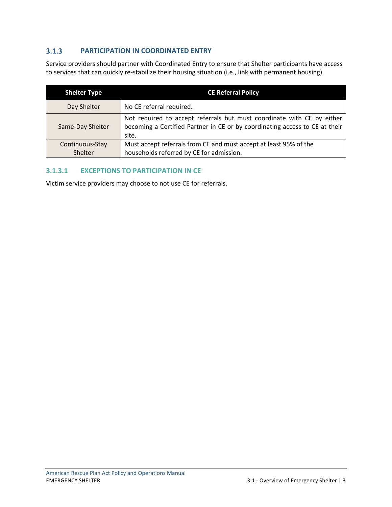#### <span id="page-5-0"></span> $3.1.3$ **PARTICIPATION IN COORDINATED ENTRY**

Service providers should partner with Coordinated Entry to ensure that Shelter participants have access to services that can quickly re-stabilize their housing situation (i.e., link with permanent housing).

| <b>Shelter Type</b> | <b>CE Referral Policy</b>                                                                                                                                      |
|---------------------|----------------------------------------------------------------------------------------------------------------------------------------------------------------|
| Day Shelter         | No CE referral required.                                                                                                                                       |
| Same-Day Shelter    | Not required to accept referrals but must coordinate with CE by either<br>becoming a Certified Partner in CE or by coordinating access to CE at their<br>site. |
| Continuous-Stay     | Must accept referrals from CE and must accept at least 95% of the                                                                                              |
| Shelter             | households referred by CE for admission.                                                                                                                       |

### <span id="page-5-1"></span>**3.1.3.1 EXCEPTIONS TO PARTICIPATION IN CE**

Victim service providers may choose to not use CE for referrals.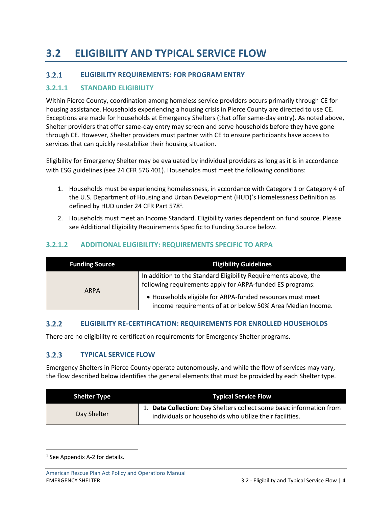# <span id="page-6-0"></span>**3.2 ELIGIBILITY AND TYPICAL SERVICE FLOW**

#### <span id="page-6-1"></span> $3.2.1$ **ELIGIBILITY REQUIREMENTS: FOR PROGRAM ENTRY**

### <span id="page-6-2"></span>**3.2.1.1 STANDARD ELIGIBILITY**

Within Pierce County, coordination among homeless service providers occurs primarily through CE for housing assistance. Households experiencing a housing crisis in Pierce County are directed to use CE. Exceptions are made for households at Emergency Shelters (that offer same-day entry). As noted above, Shelter providers that offer same-day entry may screen and serve households before they have gone through CE. However, Shelter providers must partner with CE to ensure participants have access to services that can quickly re-stabilize their housing situation.

Eligibility for Emergency Shelter may be evaluated by individual providers as long as it is in accordance with ESG guidelines (see 24 CFR 576.401). Households must meet the following conditions:

- 1. Households must be experiencing homelessness, in accordance with Category 1 or Category 4 of the U.S. Department of Housing and Urban Development (HUD)'s Homelessness Definition as defined by HUD under 24 CFR Part 578<sup>1</sup>.
- 2. Households must meet an Income Standard. Eligibility varies dependent on fund source. Please see Additional Eligibility Requirements Specific to Funding Source below.

### <span id="page-6-3"></span>**3.2.1.2 ADDITIONAL ELIGIBILITY: REQUIREMENTS SPECIFIC TO ARPA**

| <b>Funding Source</b> | <b>Eligibility Guidelines</b>                                                                                                |
|-----------------------|------------------------------------------------------------------------------------------------------------------------------|
| <b>ARPA</b>           | In addition to the Standard Eligibility Requirements above, the<br>following requirements apply for ARPA-funded ES programs: |
|                       | • Households eligible for ARPA-funded resources must meet<br>income requirements of at or below 50% Area Median Income.      |

#### <span id="page-6-4"></span> $3.2.2$ **ELIGIBILITY RE-CERTIFICATION: REQUIREMENTS FOR ENROLLED HOUSEHOLDS**

There are no eligibility re-certification requirements for Emergency Shelter programs.

#### <span id="page-6-5"></span> $3.2.3$ **TYPICAL SERVICE FLOW**

Emergency Shelters in Pierce County operate autonomously, and while the flow of services may vary, the flow described below identifies the general elements that must be provided by each Shelter type.

| <b>Shelter Type</b> | <b>Typical Service Flow</b>                                                                                                  |
|---------------------|------------------------------------------------------------------------------------------------------------------------------|
| Day Shelter         | Data Collection: Day Shelters collect some basic information from<br>individuals or households who utilize their facilities. |

<sup>&</sup>lt;sup>1</sup> See Appendix A-2 for details.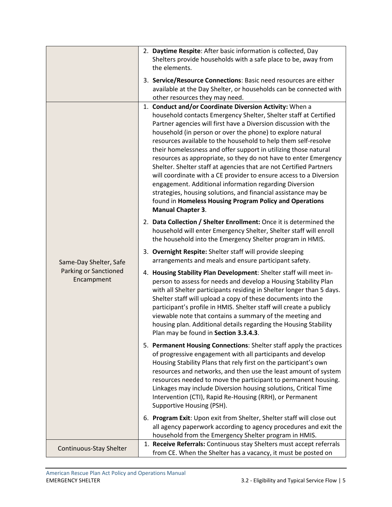|                                            | 2. Daytime Respite: After basic information is collected, Day<br>Shelters provide households with a safe place to be, away from<br>the elements.                                                                                                                                                                                                                                                                                                                                                                                                                                                                                                                                                                                                                                                                                      |
|--------------------------------------------|---------------------------------------------------------------------------------------------------------------------------------------------------------------------------------------------------------------------------------------------------------------------------------------------------------------------------------------------------------------------------------------------------------------------------------------------------------------------------------------------------------------------------------------------------------------------------------------------------------------------------------------------------------------------------------------------------------------------------------------------------------------------------------------------------------------------------------------|
|                                            | 3. Service/Resource Connections: Basic need resources are either<br>available at the Day Shelter, or households can be connected with<br>other resources they may need.                                                                                                                                                                                                                                                                                                                                                                                                                                                                                                                                                                                                                                                               |
|                                            | 1. Conduct and/or Coordinate Diversion Activity: When a<br>household contacts Emergency Shelter, Shelter staff at Certified<br>Partner agencies will first have a Diversion discussion with the<br>household (in person or over the phone) to explore natural<br>resources available to the household to help them self-resolve<br>their homelessness and offer support in utilizing those natural<br>resources as appropriate, so they do not have to enter Emergency<br>Shelter. Shelter staff at agencies that are not Certified Partners<br>will coordinate with a CE provider to ensure access to a Diversion<br>engagement. Additional information regarding Diversion<br>strategies, housing solutions, and financial assistance may be<br>found in Homeless Housing Program Policy and Operations<br><b>Manual Chapter 3.</b> |
|                                            | 2. Data Collection / Shelter Enrollment: Once it is determined the<br>household will enter Emergency Shelter, Shelter staff will enroll<br>the household into the Emergency Shelter program in HMIS.                                                                                                                                                                                                                                                                                                                                                                                                                                                                                                                                                                                                                                  |
| Same-Day Shelter, Safe                     | 3. Overnight Respite: Shelter staff will provide sleeping<br>arrangements and meals and ensure participant safety.                                                                                                                                                                                                                                                                                                                                                                                                                                                                                                                                                                                                                                                                                                                    |
| <b>Parking or Sanctioned</b><br>Encampment | 4. Housing Stability Plan Development: Shelter staff will meet in-<br>person to assess for needs and develop a Housing Stability Plan<br>with all Shelter participants residing in Shelter longer than 5 days.<br>Shelter staff will upload a copy of these documents into the<br>participant's profile in HMIS. Shelter staff will create a publicly<br>viewable note that contains a summary of the meeting and<br>housing plan. Additional details regarding the Housing Stability<br>Plan may be found in Section 3.3.4.3.                                                                                                                                                                                                                                                                                                        |
|                                            | 5. Permanent Housing Connections: Shelter staff apply the practices<br>of progressive engagement with all participants and develop<br>Housing Stability Plans that rely first on the participant's own<br>resources and networks, and then use the least amount of system<br>resources needed to move the participant to permanent housing.<br>Linkages may include Diversion housing solutions, Critical Time<br>Intervention (CTI), Rapid Re-Housing (RRH), or Permanent<br>Supportive Housing (PSH).                                                                                                                                                                                                                                                                                                                               |
|                                            | 6. Program Exit: Upon exit from Shelter, Shelter staff will close out<br>all agency paperwork according to agency procedures and exit the<br>household from the Emergency Shelter program in HMIS.                                                                                                                                                                                                                                                                                                                                                                                                                                                                                                                                                                                                                                    |
| Continuous-Stay Shelter                    | 1. Receive Referrals: Continuous stay Shelters must accept referrals<br>from CE. When the Shelter has a vacancy, it must be posted on                                                                                                                                                                                                                                                                                                                                                                                                                                                                                                                                                                                                                                                                                                 |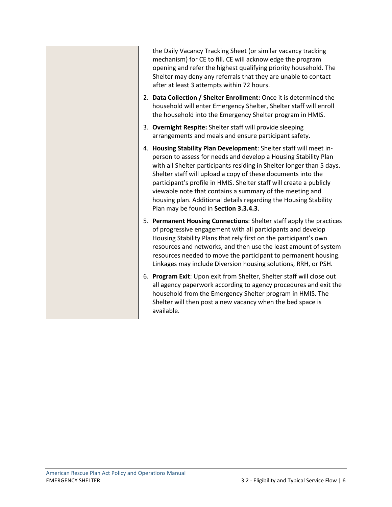| the Daily Vacancy Tracking Sheet (or similar vacancy tracking<br>mechanism) for CE to fill. CE will acknowledge the program<br>opening and refer the highest qualifying priority household. The<br>Shelter may deny any referrals that they are unable to contact<br>after at least 3 attempts within 72 hours.                                                                                                                                                                                                                |
|--------------------------------------------------------------------------------------------------------------------------------------------------------------------------------------------------------------------------------------------------------------------------------------------------------------------------------------------------------------------------------------------------------------------------------------------------------------------------------------------------------------------------------|
| 2. Data Collection / Shelter Enrollment: Once it is determined the<br>household will enter Emergency Shelter, Shelter staff will enroll<br>the household into the Emergency Shelter program in HMIS.                                                                                                                                                                                                                                                                                                                           |
| 3. Overnight Respite: Shelter staff will provide sleeping<br>arrangements and meals and ensure participant safety.                                                                                                                                                                                                                                                                                                                                                                                                             |
| 4. Housing Stability Plan Development: Shelter staff will meet in-<br>person to assess for needs and develop a Housing Stability Plan<br>with all Shelter participants residing in Shelter longer than 5 days.<br>Shelter staff will upload a copy of these documents into the<br>participant's profile in HMIS. Shelter staff will create a publicly<br>viewable note that contains a summary of the meeting and<br>housing plan. Additional details regarding the Housing Stability<br>Plan may be found in Section 3.3.4.3. |
| 5. Permanent Housing Connections: Shelter staff apply the practices<br>of progressive engagement with all participants and develop<br>Housing Stability Plans that rely first on the participant's own<br>resources and networks, and then use the least amount of system<br>resources needed to move the participant to permanent housing.<br>Linkages may include Diversion housing solutions, RRH, or PSH.                                                                                                                  |
| 6. Program Exit: Upon exit from Shelter, Shelter staff will close out<br>all agency paperwork according to agency procedures and exit the<br>household from the Emergency Shelter program in HMIS. The<br>Shelter will then post a new vacancy when the bed space is<br>available.                                                                                                                                                                                                                                             |
|                                                                                                                                                                                                                                                                                                                                                                                                                                                                                                                                |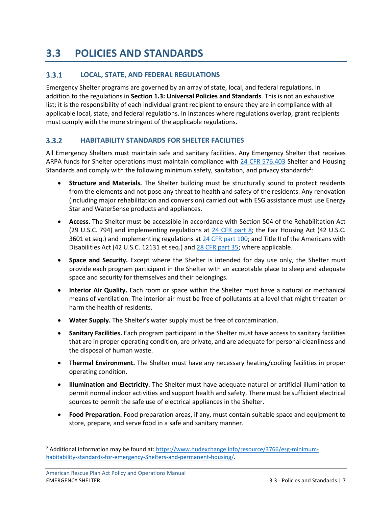## <span id="page-9-0"></span>**3.3 POLICIES AND STANDARDS**

#### <span id="page-9-1"></span> $3.3.1$ **LOCAL, STATE, AND FEDERAL REGULATIONS**

Emergency Shelter programs are governed by an array of state, local, and federal regulations. In addition to the regulations in **Section 1.3: Universal Policies and Standards**. This is not an exhaustive list; it is the responsibility of each individual grant recipient to ensure they are in compliance with all applicable local, state, and federal regulations. In instances where regulations overlap, grant recipients must comply with the more stringent of the applicable regulations.

#### <span id="page-9-2"></span> $3.3.2$ **HABITABILITY STANDARDS FOR SHELTER FACILITIES**

All Emergency Shelters must maintain safe and sanitary facilities. Any Emergency Shelter that receives ARPA funds for Shelter operations must maintain compliance with [24 CFR 576.403](https://www.ecfr.gov/current/title-24/subtitle-B/chapter-V/subchapter-C/part-576/subpart-E/section-576.403) Shelter and Housing Standards and comply with the following minimum safety, sanitation, and privacy standards<sup>2</sup>:

- **Structure and Materials.** The Shelter building must be structurally sound to protect residents from the elements and not pose any threat to health and safety of the residents. Any renovation (including major rehabilitation and conversion) carried out with ESG assistance must use Energy Star and WaterSense products and appliances.
- **Access.** The Shelter must be accessible in accordance with Section 504 of the Rehabilitation Act (29 U.S.C. 794) and implementing regulations at [24 CFR part 8;](https://www.ecfr.gov/current/title-24/subtitle-A/part-8) the Fair Housing Act (42 U.S.C. 3601 et seq.) and implementing regulations at [24 CFR part 100;](https://www.ecfr.gov/current/title-24/subtitle-B/chapter-I/part-100) and Title II of the Americans with Disabilities Act (42 U.S.C. 12131 et seq.) and [28 CFR part 35;](https://www.ecfr.gov/current/title-28/chapter-I/part-35) where applicable.
- **Space and Security.** Except where the Shelter is intended for day use only, the Shelter must provide each program participant in the Shelter with an acceptable place to sleep and adequate space and security for themselves and their belongings.
- **Interior Air Quality.** Each room or space within the Shelter must have a natural or mechanical means of ventilation. The interior air must be free of pollutants at a level that might threaten or harm the health of residents.
- **Water Supply.** The Shelter's water supply must be free of contamination.
- **Sanitary Facilities.** Each program participant in the Shelter must have access to sanitary facilities that are in proper operating condition, are private, and are adequate for personal cleanliness and the disposal of human waste.
- **Thermal Environment.** The Shelter must have any necessary heating/cooling facilities in proper operating condition.
- **Illumination and Electricity.** The Shelter must have adequate natural or artificial illumination to permit normal indoor activities and support health and safety. There must be sufficient electrical sources to permit the safe use of electrical appliances in the Shelter.
- **Food Preparation.** Food preparation areas, if any, must contain suitable space and equipment to store, prepare, and serve food in a safe and sanitary manner.

<sup>&</sup>lt;sup>2</sup> Additional information may be found at[: https://www.hudexchange.info/resource/3766/esg-minimum](https://www.hudexchange.info/resource/3766/esg-minimum-habitability-standards-for-emergency-shelters-and-permanent-housing/)[habitability-standards-for-emergency-Shelters-and-permanent-housing/.](https://www.hudexchange.info/resource/3766/esg-minimum-habitability-standards-for-emergency-shelters-and-permanent-housing/)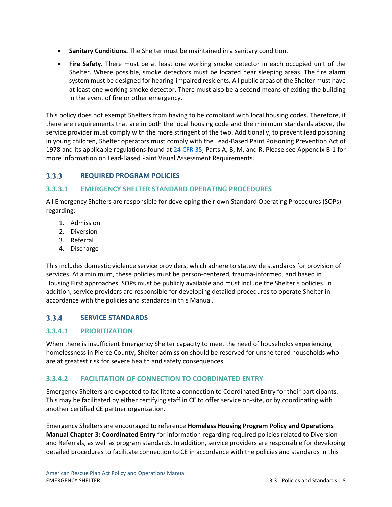- **Sanitary Conditions.** The Shelter must be maintained in a sanitary condition.
- **Fire Safety.** There must be at least one working smoke detector in each occupied unit of the Shelter. Where possible, smoke detectors must be located near sleeping areas. The fire alarm system must be designed for hearing-impaired residents. All public areas of the Shelter must have at least one working smoke detector. There must also be a second means of exiting the building in the event of fire or other emergency.

This policy does not exempt Shelters from having to be compliant with local housing codes. Therefore, if there are requirements that are in both the local housing code and the minimum standards above, the service provider must comply with the more stringent of the two. Additionally, to prevent lead poisoning in young children, Shelter operators must comply with the Lead‐Based Paint Poisoning Prevention Act of 1978 and its applicable regulations found at [24 CFR 35,](https://www.ecfr.gov/current/title-24/subtitle-A/part-35) Parts A, B, M, and R. Please see Appendix B-1 for more information on Lead-Based Paint Visual Assessment Requirements.

#### <span id="page-10-0"></span> $3.3.3$ **REQUIRED PROGRAM POLICIES**

### <span id="page-10-1"></span>**3.3.3.1 EMERGENCY SHELTER STANDARD OPERATING PROCEDURES**

All Emergency Shelters are responsible for developing their own Standard Operating Procedures (SOPs) regarding:

- 1. Admission
- 2. Diversion
- 3. Referral
- 4. Discharge

This includes domestic violence service providers, which adhere to statewide standards for provision of services. At a minimum, these policies must be person-centered, trauma-informed, and based in Housing First approaches. SOPs must be publicly available and must include the Shelter's policies. In addition, service providers are responsible for developing detailed procedures to operate Shelter in accordance with the policies and standards in this Manual.

#### <span id="page-10-2"></span> $3.3.4$ **SERVICE STANDARDS**

### <span id="page-10-3"></span>**3.3.4.1 PRIORITIZATION**

When there is insufficient Emergency Shelter capacity to meet the need of households experiencing homelessness in Pierce County, Shelter admission should be reserved for unsheltered households who are at greatest risk for severe health and safety consequences.

### <span id="page-10-4"></span>**3.3.4.2 FACILITATION OF CONNECTION TO COORDINATED ENTRY**

Emergency Shelters are expected to facilitate a connection to Coordinated Entry for their participants. This may be facilitated by either certifying staff in CE to offer service on-site, or by coordinating with another certified CE partner organization.

Emergency Shelters are encouraged to reference **Homeless Housing Program Policy and Operations Manual Chapter 3: Coordinated Entry** for information regarding required policies related to Diversion and Referrals, as well as program standards. In addition, service providers are responsible for developing detailed procedures to facilitate connection to CE in accordance with the policies and standards in this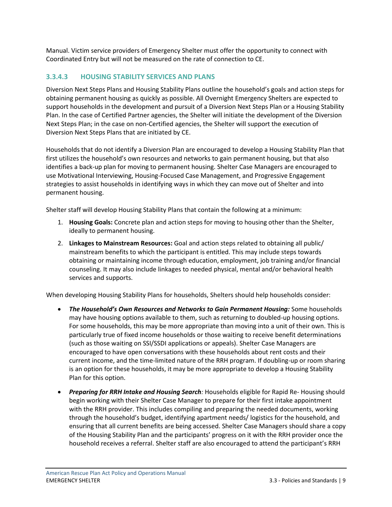Manual. Victim service providers of Emergency Shelter must offer the opportunity to connect with Coordinated Entry but will not be measured on the rate of connection to CE.

### <span id="page-11-0"></span>**3.3.4.3 HOUSING STABILITY SERVICES AND PLANS**

Diversion Next Steps Plans and Housing Stability Plans outline the household's goals and action steps for obtaining permanent housing as quickly as possible. All Overnight Emergency Shelters are expected to support households in the development and pursuit of a Diversion Next Steps Plan or a Housing Stability Plan. In the case of Certified Partner agencies, the Shelter will initiate the development of the Diversion Next Steps Plan; in the case on non-Certified agencies, the Shelter will support the execution of Diversion Next Steps Plans that are initiated by CE.

Households that do not identify a Diversion Plan are encouraged to develop a Housing Stability Plan that first utilizes the household's own resources and networks to gain permanent housing, but that also identifies a back-up plan for moving to permanent housing. Shelter Case Managers are encouraged to use Motivational Interviewing, Housing-Focused Case Management, and Progressive Engagement strategies to assist households in identifying ways in which they can move out of Shelter and into permanent housing.

Shelter staff will develop Housing Stability Plans that contain the following at a minimum:

- 1. **Housing Goals:** Concrete plan and action steps for moving to housing other than the Shelter, ideally to permanent housing.
- 2. **Linkages to Mainstream Resources:** Goal and action steps related to obtaining all public/ mainstream benefits to which the participant is entitled. This may include steps towards obtaining or maintaining income through education, employment, job training and/or financial counseling. It may also include linkages to needed physical, mental and/or behavioral health services and supports.

When developing Housing Stability Plans for households, Shelters should help households consider:

- *The Household's Own Resources and Networks to Gain Permanent Housing:* Some households may have housing options available to them, such as returning to doubled-up housing options. For some households, this may be more appropriate than moving into a unit of their own. This is particularly true of fixed income households or those waiting to receive benefit determinations (such as those waiting on SSI/SSDI applications or appeals). Shelter Case Managers are encouraged to have open conversations with these households about rent costs and their current income, and the time-limited nature of the RRH program. If doubling-up or room sharing is an option for these households, it may be more appropriate to develop a Housing Stability Plan for this option.
- *Preparing for RRH Intake and Housing Search:* Households eligible for Rapid Re- Housing should begin working with their Shelter Case Manager to prepare for their first intake appointment with the RRH provider. This includes compiling and preparing the needed documents, working through the household's budget, identifying apartment needs/ logistics for the household, and ensuring that all current benefits are being accessed. Shelter Case Managers should share a copy of the Housing Stability Plan and the participants' progress on it with the RRH provider once the household receives a referral. Shelter staff are also encouraged to attend the participant's RRH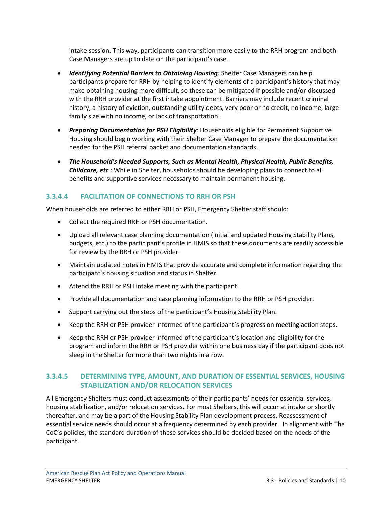intake session. This way, participants can transition more easily to the RRH program and both Case Managers are up to date on the participant's case.

- *Identifying Potential Barriers to Obtaining Housing:* Shelter Case Managers can help participants prepare for RRH by helping to identify elements of a participant's history that may make obtaining housing more difficult, so these can be mitigated if possible and/or discussed with the RRH provider at the first intake appointment. Barriers may include recent criminal history, a history of eviction, outstanding utility debts, very poor or no credit, no income, large family size with no income, or lack of transportation.
- *Preparing Documentation for PSH Eligibility:* Households eligible for Permanent Supportive Housing should begin working with their Shelter Case Manager to prepare the documentation needed for the PSH referral packet and documentation standards.
- *The Household's Needed Supports, Such as Mental Health, Physical Health, Public Benefits, Childcare, etc.*: While in Shelter, households should be developing plans to connect to all benefits and supportive services necessary to maintain permanent housing.

### <span id="page-12-0"></span>**3.3.4.4 FACILITATION OF CONNECTIONS TO RRH OR PSH**

When households are referred to either RRH or PSH, Emergency Shelter staff should:

- Collect the required RRH or PSH documentation.
- Upload all relevant case planning documentation (initial and updated Housing Stability Plans, budgets, etc.) to the participant's profile in HMIS so that these documents are readily accessible for review by the RRH or PSH provider.
- Maintain updated notes in HMIS that provide accurate and complete information regarding the participant's housing situation and status in Shelter.
- Attend the RRH or PSH intake meeting with the participant.
- Provide all documentation and case planning information to the RRH or PSH provider.
- Support carrying out the steps of the participant's Housing Stability Plan.
- Keep the RRH or PSH provider informed of the participant's progress on meeting action steps.
- Keep the RRH or PSH provider informed of the participant's location and eligibility for the program and inform the RRH or PSH provider within one business day if the participant does not sleep in the Shelter for more than two nights in a row.

### <span id="page-12-1"></span>**3.3.4.5 DETERMINING TYPE, AMOUNT, AND DURATION OF ESSENTIAL SERVICES, HOUSING STABILIZATION AND/OR RELOCATION SERVICES**

All Emergency Shelters must conduct assessments of their participants' needs for essential services, housing stabilization, and/or relocation services. For most Shelters, this will occur at intake or shortly thereafter, and may be a part of the Housing Stability Plan development process. Reassessment of essential service needs should occur at a frequency determined by each provider. In alignment with The CoC's policies, the standard duration of these services should be decided based on the needs of the participant.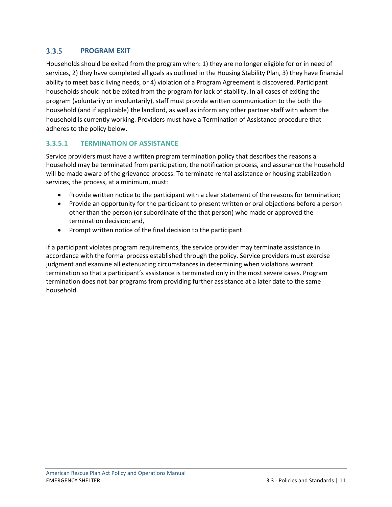#### <span id="page-13-0"></span> $3.3.5$ **PROGRAM EXIT**

Households should be exited from the program when: 1) they are no longer eligible for or in need of services, 2) they have completed all goals as outlined in the Housing Stability Plan, 3) they have financial ability to meet basic living needs, or 4) violation of a Program Agreement is discovered. Participant households should not be exited from the program for lack of stability. In all cases of exiting the program (voluntarily or involuntarily), staff must provide written communication to the both the household (and if applicable) the landlord, as well as inform any other partner staff with whom the household is currently working. Providers must have a Termination of Assistance procedure that adheres to the policy below.

### <span id="page-13-1"></span>**3.3.5.1 TERMINATION OF ASSISTANCE**

Service providers must have a written program termination policy that describes the reasons a household may be terminated from participation, the notification process, and assurance the household will be made aware of the grievance process. To terminate rental assistance or housing stabilization services, the process, at a minimum, must:

- Provide written notice to the participant with a clear statement of the reasons for termination;
- Provide an opportunity for the participant to present written or oral objections before a person other than the person (or subordinate of the that person) who made or approved the termination decision; and,
- Prompt written notice of the final decision to the participant.

If a participant violates program requirements, the service provider may terminate assistance in accordance with the formal process established through the policy. Service providers must exercise judgment and examine all extenuating circumstances in determining when violations warrant termination so that a participant's assistance is terminated only in the most severe cases. Program termination does not bar programs from providing further assistance at a later date to the same household.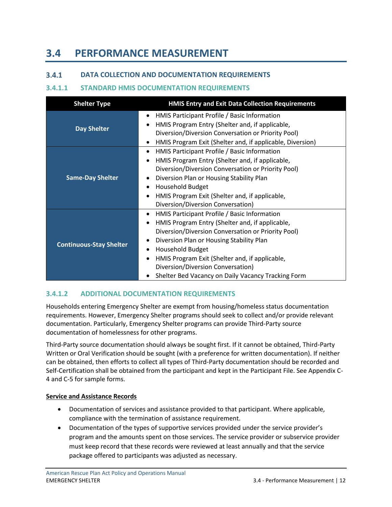## <span id="page-14-0"></span>**3.4 PERFORMANCE MEASUREMENT**

#### <span id="page-14-1"></span> $3.4.1$ **DATA COLLECTION AND DOCUMENTATION REQUIREMENTS**

### <span id="page-14-2"></span>**3.4.1.1 STANDARD HMIS DOCUMENTATION REQUIREMENTS**

| <b>Shelter Type</b>            | <b>HMIS Entry and Exit Data Collection Requirements</b>                                                                                                                                                                                                                                                                                                                                                             |
|--------------------------------|---------------------------------------------------------------------------------------------------------------------------------------------------------------------------------------------------------------------------------------------------------------------------------------------------------------------------------------------------------------------------------------------------------------------|
| <b>Day Shelter</b>             | HMIS Participant Profile / Basic Information<br>$\bullet$<br>HMIS Program Entry (Shelter and, if applicable,<br>$\bullet$<br>Diversion/Diversion Conversation or Priority Pool)<br>HMIS Program Exit (Shelter and, if applicable, Diversion)<br>$\bullet$                                                                                                                                                           |
| <b>Same-Day Shelter</b>        | HMIS Participant Profile / Basic Information<br>٠<br>HMIS Program Entry (Shelter and, if applicable,<br>$\bullet$<br>Diversion/Diversion Conversation or Priority Pool)<br>Diversion Plan or Housing Stability Plan<br><b>Household Budget</b><br>$\bullet$<br>HMIS Program Exit (Shelter and, if applicable,<br>$\bullet$<br>Diversion/Diversion Conversation)                                                     |
| <b>Continuous-Stay Shelter</b> | HMIS Participant Profile / Basic Information<br>$\bullet$<br>HMIS Program Entry (Shelter and, if applicable,<br>$\bullet$<br>Diversion/Diversion Conversation or Priority Pool)<br>Diversion Plan or Housing Stability Plan<br>٠<br>Household Budget<br>٠<br>HMIS Program Exit (Shelter and, if applicable,<br>$\bullet$<br>Diversion/Diversion Conversation)<br>Shelter Bed Vacancy on Daily Vacancy Tracking Form |

### <span id="page-14-3"></span>**3.4.1.2 ADDITIONAL DOCUMENTATION REQUIREMENTS**

Households entering Emergency Shelter are exempt from housing/homeless status documentation requirements. However, Emergency Shelter programs should seek to collect and/or provide relevant documentation. Particularly, Emergency Shelter programs can provide Third-Party source documentation of homelessness for other programs.

Third-Party source documentation should always be sought first. If it cannot be obtained, Third-Party Written or Oral Verification should be sought (with a preference for written documentation). If neither can be obtained, then efforts to collect all types of Third-Party documentation should be recorded and Self-Certification shall be obtained from the participant and kept in the Participant File. See Appendix C-4 and C-5 for sample forms.

### **Service and Assistance Records**

- Documentation of services and assistance provided to that participant. Where applicable, compliance with the termination of assistance requirement.
- Documentation of the types of supportive services provided under the service provider's program and the amounts spent on those services. The service provider or subservice provider must keep record that these records were reviewed at least annually and that the service package offered to participants was adjusted as necessary.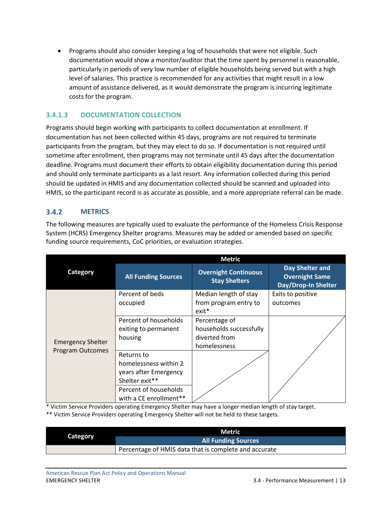• Programs should also consider keeping a log of households that were not eligible. Such documentation would show a monitor/auditor that the time spent by personnel is reasonable, particularly in periods of very low number of eligible households being served but with a high level of salaries. This practice is recommended for any activities that might result in a low amount of assistance delivered, as it would demonstrate the program is incurring legitimate costs for the program.

### <span id="page-15-0"></span>**3.4.1.3 DOCUMENTATION COLLECTION**

Programs should begin working with participants to collect documentation at enrollment. If documentation has not been collected within 45 days, programs are not required to terminate participants from the program, but they may elect to do so. If documentation is not required until sometime after enrollment, then programs may not terminate until 45 days after the documentation deadline. Programs must document their efforts to obtain eligibility documentation during this period and should only terminate participants as a last resort. Any information collected during this period should be updated in HMIS and any documentation collected should be scanned and uploaded into HMIS, so the participant record is as accurate as possible, and a more appropriate referral can be made.

#### <span id="page-15-1"></span> $3.4.2$ **METRICS**

The following measures are typically used to evaluate the performance of the Homeless Crisis Response System (HCRS) Emergency Shelter programs. Measures may be added or amended based on specific funding source requirements, CoC priorities, or evaluation strategies.

|                          |                            | <b>Metric</b>                                       |                                                                        |
|--------------------------|----------------------------|-----------------------------------------------------|------------------------------------------------------------------------|
| Category                 | <b>All Funding Sources</b> | <b>Overnight Continuous</b><br><b>Stay Shelters</b> | Day Shelter and<br><b>Overnight Same</b><br><b>Day/Drop-In Shelter</b> |
|                          | Percent of beds            | Median length of stay                               | Exits to positive                                                      |
|                          | occupied                   | from program entry to<br>$exit*$                    | outcomes                                                               |
|                          | Percent of households      | Percentage of                                       |                                                                        |
|                          | exiting to permanent       | households successfully                             |                                                                        |
| <b>Emergency Shelter</b> | housing                    | diverted from                                       |                                                                        |
| <b>Program Outcomes</b>  |                            | homelessness                                        |                                                                        |
|                          | Returns to                 |                                                     |                                                                        |
|                          | homelessness within 2      |                                                     |                                                                        |
|                          | years after Emergency      |                                                     |                                                                        |
|                          | Shelter exit**             |                                                     |                                                                        |
|                          | Percent of households      |                                                     |                                                                        |
|                          | with a CE enrollment**     |                                                     |                                                                        |

\* Victim Service Providers operating Emergency Shelter may have a longer median length of stay target.

\*\* Victim Service Providers operating Emergency Shelter will not be held to these targets.

|          | Metric                                                |
|----------|-------------------------------------------------------|
| Category | <b>All Funding Sources</b>                            |
|          | Percentage of HMIS data that is complete and accurate |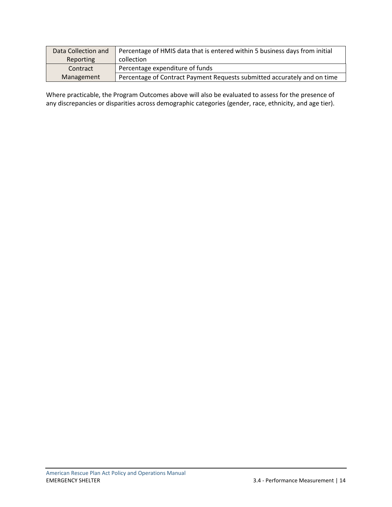| Data Collection and | Percentage of HMIS data that is entered within 5 business days from initial |
|---------------------|-----------------------------------------------------------------------------|
| Reporting           | collection                                                                  |
| Contract            | Percentage expenditure of funds                                             |
| Management          | Percentage of Contract Payment Requests submitted accurately and on time    |

Where practicable, the Program Outcomes above will also be evaluated to assess for the presence of any discrepancies or disparities across demographic categories (gender, race, ethnicity, and age tier).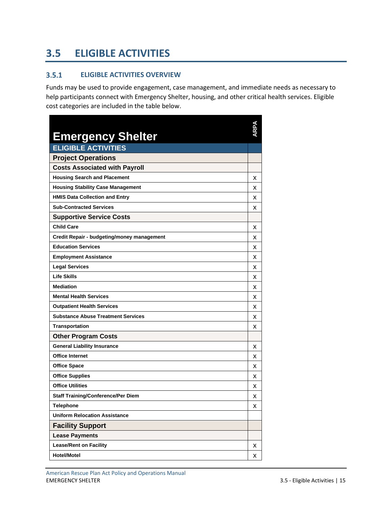# <span id="page-17-0"></span>**3.5 ELIGIBLE ACTIVITIES**

#### <span id="page-17-1"></span> $3.5.1$ **ELIGIBLE ACTIVITIES OVERVIEW**

Funds may be used to provide engagement, case management, and immediate needs as necessary to help participants connect with Emergency Shelter, housing, and other critical health services. Eligible cost categories are included in the table below.

| <b>Emergency Shelter</b>                   |   |
|--------------------------------------------|---|
| <b>ELIGIBLE ACTIVITIES</b>                 |   |
| <b>Project Operations</b>                  |   |
| <b>Costs Associated with Payroll</b>       |   |
| <b>Housing Search and Placement</b>        | х |
| <b>Housing Stability Case Management</b>   | х |
| <b>HMIS Data Collection and Entry</b>      | x |
| <b>Sub-Contracted Services</b>             | x |
| <b>Supportive Service Costs</b>            |   |
| <b>Child Care</b>                          | x |
| Credit Repair - budgeting/money management | x |
| <b>Education Services</b>                  | x |
| <b>Employment Assistance</b>               | x |
| <b>Legal Services</b>                      | x |
| <b>Life Skills</b>                         | х |
| <b>Mediation</b>                           | x |
| <b>Mental Health Services</b>              | x |
| <b>Outpatient Health Services</b>          | х |
| <b>Substance Abuse Treatment Services</b>  | x |
| <b>Transportation</b>                      | х |
| <b>Other Program Costs</b>                 |   |
| <b>General Liability Insurance</b>         | x |
| <b>Office Internet</b>                     | x |
| <b>Office Space</b>                        | x |
| <b>Office Supplies</b>                     | x |
| <b>Office Utilities</b>                    | x |
| <b>Staff Training/Conference/Per Diem</b>  | x |
| <b>Telephone</b>                           | X |
| <b>Uniform Relocation Assistance</b>       |   |
| <b>Facility Support</b>                    |   |
| <b>Lease Payments</b>                      |   |
| <b>Lease/Rent on Facility</b>              | х |
| <b>Hotel/Motel</b>                         | х |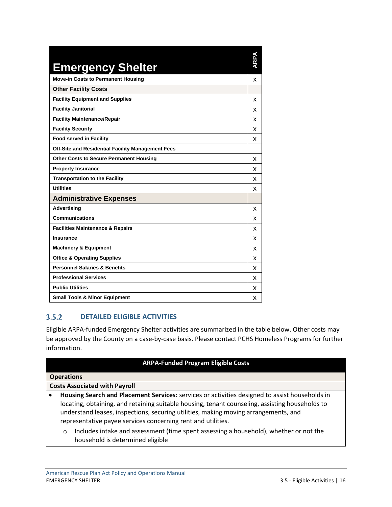| <b>Emergency Shelter</b>                          | ARPA |
|---------------------------------------------------|------|
| <b>Move-in Costs to Permanent Housing</b>         | X    |
| <b>Other Facility Costs</b>                       |      |
| <b>Facility Equipment and Supplies</b>            | x    |
| <b>Facility Janitorial</b>                        | x    |
| <b>Facility Maintenance/Repair</b>                | x    |
| <b>Facility Security</b>                          | x    |
| <b>Food served in Facility</b>                    | x    |
| Off-Site and Residential Facility Management Fees |      |
| <b>Other Costs to Secure Permanent Housing</b>    | x    |
| <b>Property Insurance</b>                         | x    |
| <b>Transportation to the Facility</b>             | x    |
| <b>Utilities</b>                                  | x    |
| <b>Administrative Expenses</b>                    |      |
| <b>Advertising</b>                                | x    |
| <b>Communications</b>                             | x    |
| <b>Facilities Maintenance &amp; Repairs</b>       | x    |
| <b>Insurance</b>                                  | x    |
| <b>Machinery &amp; Equipment</b>                  | x    |
| <b>Office &amp; Operating Supplies</b>            | x    |
| <b>Personnel Salaries &amp; Benefits</b>          | x    |
| <b>Professional Services</b>                      | x    |
| <b>Public Utilities</b>                           | x    |
| <b>Small Tools &amp; Minor Equipment</b>          | x    |

#### <span id="page-18-0"></span> $3.5.2$ **DETAILED ELIGIBLE ACTIVITIES**

Eligible ARPA-funded Emergency Shelter activities are summarized in the table below. Other costs may be approved by the County on a case-by-case basis. Please contact PCHS Homeless Programs for further information.

### **ARPA-Funded Program Eligible Costs**

| <b>Operations</b>                    |                                                                                                 |  |  |  |
|--------------------------------------|-------------------------------------------------------------------------------------------------|--|--|--|
| <b>Costs Associated with Payroll</b> |                                                                                                 |  |  |  |
|                                      | Housing Search and Placement Services: services or activities designed to assist households in  |  |  |  |
|                                      | locating, obtaining, and retaining suitable housing, tenant counseling, assisting households to |  |  |  |
|                                      | understand leases, inspections, securing utilities, making moving arrangements, and             |  |  |  |
|                                      | representative payee services concerning rent and utilities.                                    |  |  |  |
|                                      |                                                                                                 |  |  |  |

o Includes intake and assessment (time spent assessing a household), whether or not the household is determined eligible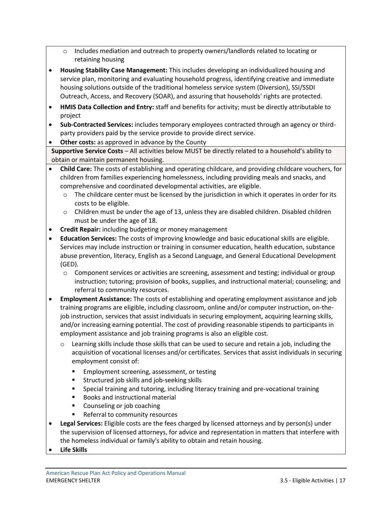- o Includes mediation and outreach to property owners/landlords related to locating or retaining housing
- **Housing Stability Case Management:** This includes developing an individualized housing and service plan, monitoring and evaluating household progress, identifying creative and immediate housing solutions outside of the traditional homeless service system (Diversion), SSI/SSDI Outreach, Access, and Recovery (SOAR), and assuring that households' rights are protected.
- **HMIS Data Collection and Entry:** staff and benefits for activity; must be directly attributable to project
- **Sub-Contracted Services:** includes temporary employees contracted through an agency or thirdparty providers paid by the service provide to provide direct service.
- **Other costs:** as approved in advance by the County

**Supportive Service Costs** – All activities below MUST be directly related to a household's ability to obtain or maintain permanent housing.

- **Child Care:** The costs of establishing and operating childcare, and providing childcare vouchers, for children from families experiencing homelessness, including providing meals and snacks, and comprehensive and coordinated developmental activities, are eligible.
	- $\circ$  The childcare center must be licensed by the jurisdiction in which it operates in order for its costs to be eligible.
	- o Children must be under the age of 13, unless they are disabled children. Disabled children must be under the age of 18.
- **Credit Repair:** including budgeting or money management
- **Education Services:** The costs of improving knowledge and basic educational skills are eligible. Services may include instruction or training in consumer education, health education, substance abuse prevention, literacy, English as a Second Language, and General Educational Development (GED).
	- o Component services or activities are screening, assessment and testing; individual or group instruction; tutoring; provision of books, supplies, and instructional material; counseling; and referral to community resources.
- **Employment Assistance:** The costs of establishing and operating employment assistance and job training programs are eligible, including classroom, online and/or computer instruction, on-thejob instruction, services that assist individuals in securing employment, acquiring learning skills, and/or increasing earning potential. The cost of providing reasonable stipends to participants in employment assistance and job training programs is also an eligible cost.
	- $\circ$  Learning skills include those skills that can be used to secure and retain a job, including the acquisition of vocational licenses and/or certificates. Services that assist individuals in securing employment consist of:
		- Employment screening, assessment, or testing
		- Structured job skills and job-seeking skills
		- Special training and tutoring, including literacy training and pre-vocational training
		- Books and instructional material
		- Counseling or job coaching
		- Referral to community resources
- **Legal Services:** Eligible costs are the fees charged by licensed attorneys and by person(s) under the supervision of licensed attorneys, for advice and representation in matters that interfere with the homeless individual or family's ability to obtain and retain housing.
- **Life Skills**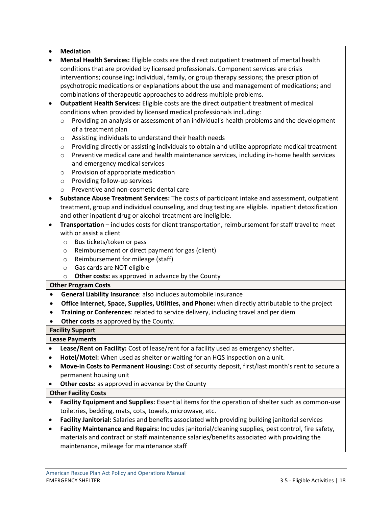### • **Mediation**

- **Mental Health Services:** Eligible costs are the direct outpatient treatment of mental health conditions that are provided by licensed professionals. Component services are crisis interventions; counseling; individual, family, or group therapy sessions; the prescription of psychotropic medications or explanations about the use and management of medications; and combinations of therapeutic approaches to address multiple problems.
- **Outpatient Health Services:** Eligible costs are the direct outpatient treatment of medical conditions when provided by licensed medical professionals including:
	- $\circ$  Providing an analysis or assessment of an individual's health problems and the development of a treatment plan
	- o Assisting individuals to understand their health needs
	- $\circ$  Providing directly or assisting individuals to obtain and utilize appropriate medical treatment
	- o Preventive medical care and health maintenance services, including in-home health services and emergency medical services
	- o Provision of appropriate medication
	- o Providing follow-up services
	- o Preventive and non-cosmetic dental care
- **Substance Abuse Treatment Services:** The costs of participant intake and assessment, outpatient treatment, group and individual counseling, and drug testing are eligible. Inpatient detoxification and other inpatient drug or alcohol treatment are ineligible.
- **Transportation** includes costs for client transportation, reimbursement for staff travel to meet with or assist a client
	- o Bus tickets/token or pass
	- o Reimbursement or direct payment for gas (client)
	- o Reimbursement for mileage (staff)
	- o Gas cards are NOT eligible
	- o **Other costs:** as approved in advance by the County

### **Other Program Costs**

- **General Liability Insurance**: also includes automobile insurance
- **Office Internet, Space, Supplies, Utilities, and Phone:** when directly attributable to the project
- **Training or Conferences**: related to service delivery, including travel and per diem
- **Other costs** as approved by the County.

### **Facility Support**

### **Lease Payments**

- **Lease/Rent on Facility:** Cost of lease/rent for a facility used as emergency shelter.
- **Hotel/Motel:** When used as shelter or waiting for an HQS inspection on a unit.
- **Move-in Costs to Permanent Housing:** Cost of security deposit, first/last month's rent to secure a permanent housing unit
- **Other costs:** as approved in advance by the County

### **Other Facility Costs**

- **Facility Equipment and Supplies:** Essential items for the operation of shelter such as common-use toiletries, bedding, mats, cots, towels, microwave, etc.
- **Facility Janitorial:** Salaries and benefits associated with providing building janitorial services
- **Facility Maintenance and Repairs:** Includes janitorial/cleaning supplies, pest control, fire safety, materials and contract or staff maintenance salaries/benefits associated with providing the maintenance, mileage for maintenance staff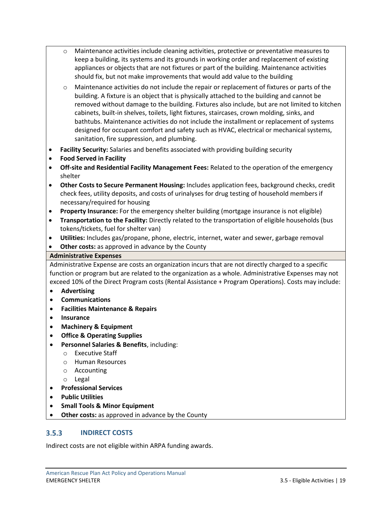- o Maintenance activities include cleaning activities, protective or preventative measures to keep a building, its systems and its grounds in working order and replacement of existing appliances or objects that are not fixtures or part of the building. Maintenance activities should fix, but not make improvements that would add value to the building
- o Maintenance activities do not include the repair or replacement of fixtures or parts of the building. A fixture is an object that is physically attached to the building and cannot be removed without damage to the building. Fixtures also include, but are not limited to kitchen cabinets, built-in shelves, toilets, light fixtures, staircases, crown molding, sinks, and bathtubs. Maintenance activities do not include the installment or replacement of systems designed for occupant comfort and safety such as HVAC, electrical or mechanical systems, sanitation, fire suppression, and plumbing.
- **Facility Security:** Salaries and benefits associated with providing building security
- **Food Served in Facility**
- **Off-site and Residential Facility Management Fees:** Related to the operation of the emergency shelter
- **Other Costs to Secure Permanent Housing:** Includes application fees, background checks, credit check fees, utility deposits, and costs of urinalyses for drug testing of household members if necessary/required for housing
- **Property Insurance:** For the emergency shelter building (mortgage insurance is not eligible)
- **Transportation to the Facility:** Directly related to the transportation of eligible households (bus tokens/tickets, fuel for shelter van)
- **Utilities:** Includes gas/propane, phone, electric, internet, water and sewer, garbage removal
- **Other costs:** as approved in advance by the County

### **Administrative Expenses**

Administrative Expense are costs an organization incurs that are not directly charged to a specific function or program but are related to the organization as a whole. Administrative Expenses may not exceed 10% of the Direct Program costs (Rental Assistance + Program Operations). Costs may include:

- **Advertising**
- **Communications**
- **Facilities Maintenance & Repairs**
- **Insurance**
- **Machinery & Equipment**
- **Office & Operating Supplies**
- **Personnel Salaries & Benefits**, including:
	- o Executive Staff
	- o Human Resources
	- o Accounting
	- o Legal
- **Professional Services**
- **Public Utilities**
- **Small Tools & Minor Equipment**
- **Other costs:** as approved in advance by the County

#### <span id="page-21-0"></span> $3.5.3$ **INDIRECT COSTS**

Indirect costs are not eligible within ARPA funding awards.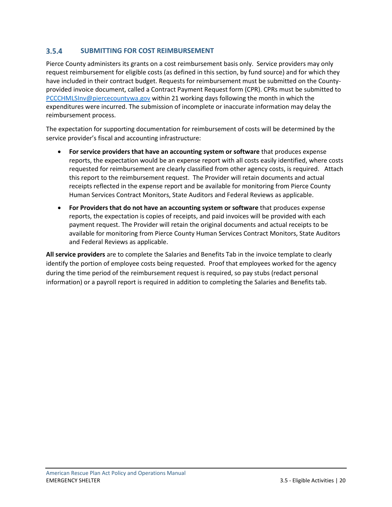#### <span id="page-22-0"></span> $3.5.4$ **SUBMITTING FOR COST REIMBURSEMENT**

Pierce County administers its grants on a cost reimbursement basis only. Service providers may only request reimbursement for eligible costs (as defined in this section, by fund source) and for which they have included in their contract budget. Requests for reimbursement must be submitted on the Countyprovided invoice document, called a Contract Payment Request form (CPR). CPRs must be submitted to [PCCCHMLSInv@piercecountywa.gov](mailto:PCCCHMLSInv@piercecountywa.gov) within 21 working days following the month in which the expenditures were incurred. The submission of incomplete or inaccurate information may delay the reimbursement process.

The expectation for supporting documentation for reimbursement of costs will be determined by the service provider's fiscal and accounting infrastructure:

- **For service providers that have an accounting system or software** that produces expense reports, the expectation would be an expense report with all costs easily identified, where costs requested for reimbursement are clearly classified from other agency costs, is required. Attach this report to the reimbursement request. The Provider will retain documents and actual receipts reflected in the expense report and be available for monitoring from Pierce County Human Services Contract Monitors, State Auditors and Federal Reviews as applicable.
- **For Providers that do not have an accounting system or software** that produces expense reports, the expectation is copies of receipts, and paid invoices will be provided with each payment request. The Provider will retain the original documents and actual receipts to be available for monitoring from Pierce County Human Services Contract Monitors, State Auditors and Federal Reviews as applicable.

**All service providers** are to complete the Salaries and Benefits Tab in the invoice template to clearly identify the portion of employee costs being requested. Proof that employees worked for the agency during the time period of the reimbursement request is required, so pay stubs (redact personal information) or a payroll report is required in addition to completing the Salaries and Benefits tab.